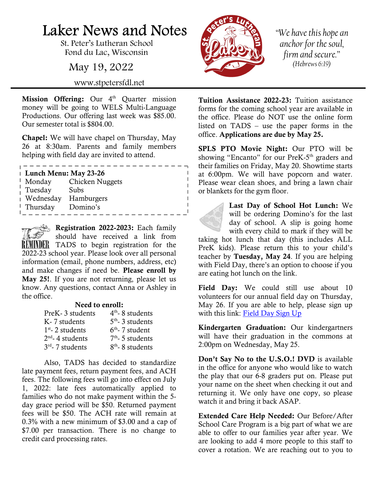## Laker News and Notes

St. Peter's Lutheran School Fond du Lac, Wisconsin

May 19, 2022

www.stpetersfdl.net

Mission Offering: Our 4<sup>th</sup> Quarter mission money will be going to WELS Multi-Language Productions. Our offering last week was \$85.00. Our semester total is \$804.00.

Chapel: We will have chapel on Thursday, May 26 at 8:30am. Parents and family members helping with field day are invited to attend.

| Lunch Menu: May 23-26 |                 |  |  |
|-----------------------|-----------------|--|--|
| Monday                | Chicken Nuggets |  |  |
| Tuesday               | Subs            |  |  |
| Wednesday             | Hamburgers      |  |  |
| Thursday              | Domino's        |  |  |
|                       |                 |  |  |

Registration 2022-2023: Each family should have received a link from REMINDER TADS to begin registration for the 2022-23 school year. Please look over all personal information (email, phone numbers, address, etc) and make changes if need be. Please enroll by May 25!. If you are not returning, please let us know. Any questions, contact Anna or Ashley in the office.

## Need to enroll:

| PreK-3 students    | $4th$ - 8 students          |
|--------------------|-----------------------------|
| K- 7 students      | $5th$ - 3 students          |
| $1st$ - 2 students | $6th$ - 7 student           |
| $2nd$ - 4 students | $7th$ - 5 students          |
| $3rd$ - 7 students | 8 <sup>th</sup> -8 students |
|                    |                             |

Also, TADS has decided to standardize late payment fees, return payment fees, and ACH fees. The following fees will go into effect on July 1, 2022: late fees automatically applied to families who do not make payment within the 5 day grace period will be \$50. Returned payment fees will be \$50. The ACH rate will remain at 0.3% with a new minimum of \$3.00 and a cap of \$7.00 per transaction. There is no change to credit card processing rates.



 $\mathbb{L}$ 

 $\mathbb{I}$ 

"We have this hope an anchor for the soul, firm and secure." (Hebrews 6:19)

Tuition Assistance 2022-23: Tuition assistance forms for the coming school year are available in the office. Please do NOT use the online form listed on TADS – use the paper forms in the office. Applications are due by May 25.

SPLS PTO Movie Night: Our PTO will be showing "Encanto" for our PreK-5<sup>th</sup> graders and their families on Friday, May 20. Showtime starts at 6:00pm. We will have popcorn and water. Please wear clean shoes, and bring a lawn chair or blankets for the gym floor.

> Last Day of School Hot Lunch: We will be ordering Domino's for the last day of school. A slip is going home with every child to mark if they will be

taking hot lunch that day (this includes ALL PreK kids). Please return this to your child's teacher by Tuesday, May 24. If you are helping with Field Day, there's an option to choose if you are eating hot lunch on the link.

Field Day: We could still use about 10 volunteers for our annual field day on Thursday, May 26. If you are able to help, please sign up with this link: Field Day Sign Up

Kindergarten Graduation: Our kindergartners will have their graduation in the commons at 2:00pm on Wednesday, May 25.

Don't Say No to the U.S.O.! DVD is available in the office for anyone who would like to watch the play that our 6-8 graders put on. Please put your name on the sheet when checking it out and returning it. We only have one copy, so please watch it and bring it back ASAP.

Extended Care Help Needed: Our Before/After School Care Program is a big part of what we are able to offer to our families year after year. We are looking to add 4 more people to this staff to cover a rotation. We are reaching out to you to